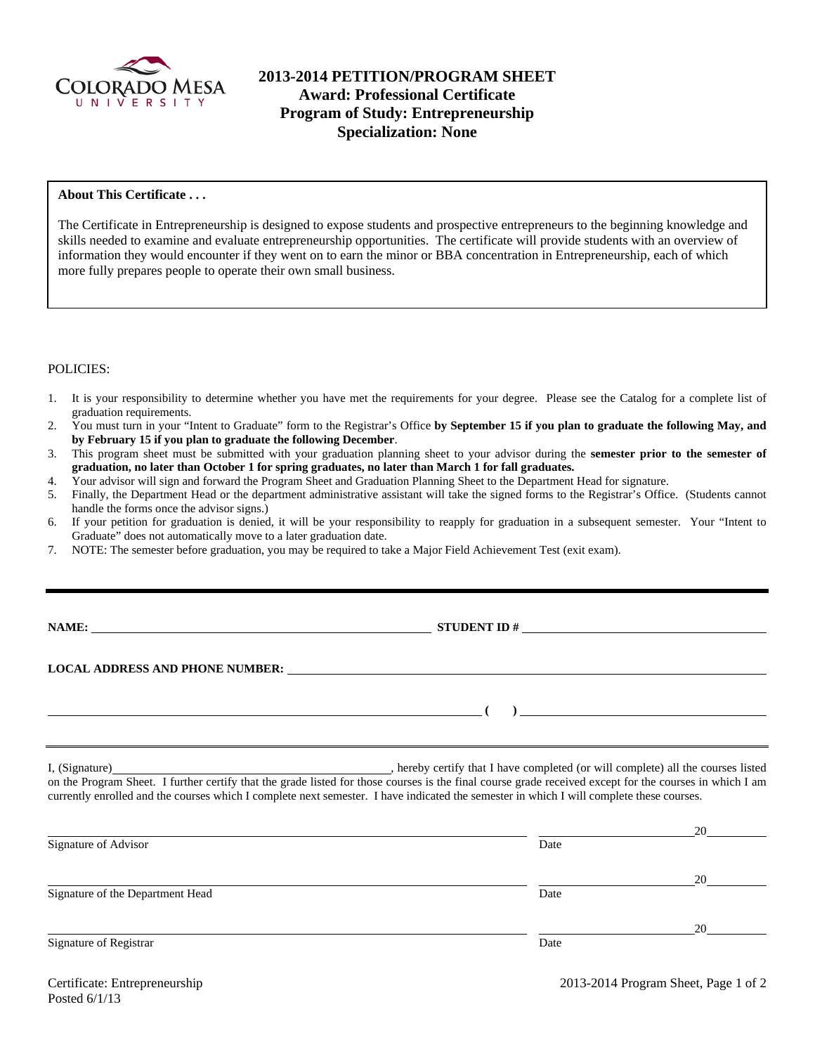

# **2013-2014 PETITION/PROGRAM SHEET Award: Professional Certificate Program of Study: Entrepreneurship Specialization: None**

## **About This Certificate . . .**

The Certificate in Entrepreneurship is designed to expose students and prospective entrepreneurs to the beginning knowledge and skills needed to examine and evaluate entrepreneurship opportunities. The certificate will provide students with an overview of information they would encounter if they went on to earn the minor or BBA concentration in Entrepreneurship, each of which more fully prepares people to operate their own small business.

### POLICIES:

- 1. It is your responsibility to determine whether you have met the requirements for your degree. Please see the Catalog for a complete list of graduation requirements.
- 2. You must turn in your "Intent to Graduate" form to the Registrar's Office **by September 15 if you plan to graduate the following May, and by February 15 if you plan to graduate the following December**.
- 3. This program sheet must be submitted with your graduation planning sheet to your advisor during the **semester prior to the semester of graduation, no later than October 1 for spring graduates, no later than March 1 for fall graduates.**
- 4. Your advisor will sign and forward the Program Sheet and Graduation Planning Sheet to the Department Head for signature.
- 5. Finally, the Department Head or the department administrative assistant will take the signed forms to the Registrar's Office. (Students cannot handle the forms once the advisor signs.)
- 6. If your petition for graduation is denied, it will be your responsibility to reapply for graduation in a subsequent semester. Your "Intent to Graduate" does not automatically move to a later graduation date.
- 7. NOTE: The semester before graduation, you may be required to take a Major Field Achievement Test (exit exam).

**NAMES IN STUDENT ID #** <u>NAMES IS NOT THE \$1 AM IS NOT THE \$1 AM IS NOT THE \$1 AM IS NOT THE \$1 AM IS NOT THE \$1 AM IS NOT THE \$1 AM IS NOT THE \$1 AM IS NOT THE \$1 AM IS NOT THE \$1 AM IS NOT THE \$1 AM IS NOT THE \$1 AM IS N</u>

 **( )** 

# **LOCAL ADDRESS AND PHONE NUMBER:**

I, (Signature) **Solution** , hereby certify that I have completed (or will complete) all the courses listed on the Program Sheet. I further certify that the grade listed for those courses is the final course grade received except for the courses in which I am currently enrolled and the courses which I complete next semester. I have indicated the semester in which I will complete these courses.

|                                  |      | 20 |  |
|----------------------------------|------|----|--|
| Signature of Advisor             | Date |    |  |
|                                  |      | 20 |  |
| Signature of the Department Head | Date |    |  |
|                                  |      | 20 |  |
| Signature of Registrar           | Date |    |  |
|                                  |      |    |  |